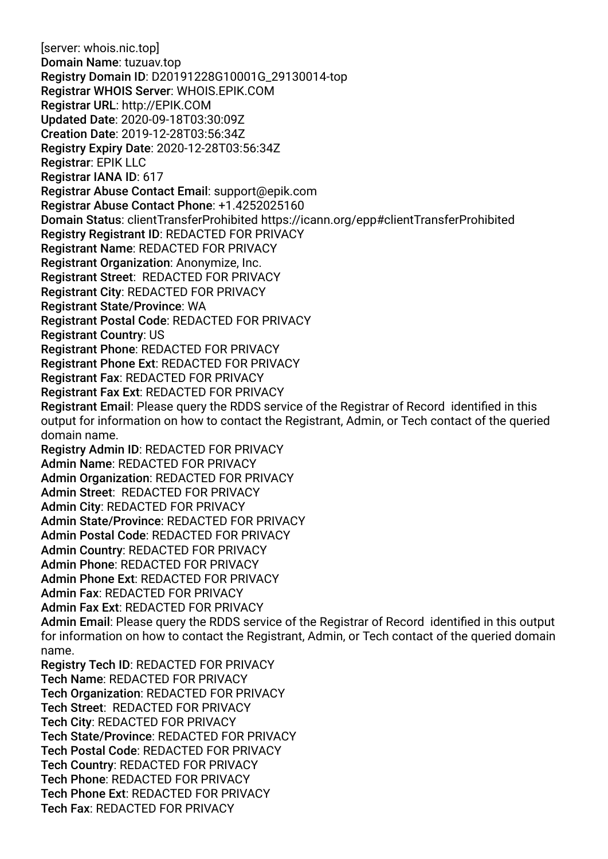[server: whois.nic.top] Domain Name: tuzuav.top Registry Domain ID: D20191228G10001G\_29130014-top Registrar WHOIS Server: WHOIS.EPIK.COM Registrar URL: http://EPIK.COM Updated Date: 2020-09-18T03:30:09Z Creation Date: 2019-12-28T03:56:34Z Registry Expiry Date: 2020-12-28T03:56:34Z Registrar: EPIK LLC Registrar IANA ID: 617 Registrar Abuse Contact Email: support@epik.com Registrar Abuse Contact Phone: +1.4252025160 Domain Status: clientTransferProhibited https://icann.org/epp#clientTransferProhibited Registry Registrant ID: REDACTED FOR PRIVACY Registrant Name: REDACTED FOR PRIVACY Registrant Organization: Anonymize, Inc. Registrant Street: REDACTED FOR PRIVACY Registrant City: REDACTED FOR PRIVACY Registrant State/Province: WA Registrant Postal Code: REDACTED FOR PRIVACY Registrant Country: US Registrant Phone: REDACTED FOR PRIVACY Registrant Phone Ext: REDACTED FOR PRIVACY Registrant Fax: REDACTED FOR PRIVACY Registrant Fax Ext: REDACTED FOR PRIVACY Registrant Email: Please query the RDDS service of the Registrar of Record identifed in this output for information on how to contact the Registrant, Admin, or Tech contact of the queried domain name. Registry Admin ID: REDACTED FOR PRIVACY Admin Name: REDACTED FOR PRIVACY Admin Organization: REDACTED FOR PRIVACY Admin Street: REDACTED FOR PRIVACY Admin City: REDACTED FOR PRIVACY Admin State/Province: REDACTED FOR PRIVACY Admin Postal Code: REDACTED FOR PRIVACY Admin Country: REDACTED FOR PRIVACY Admin Phone: REDACTED FOR PRIVACY Admin Phone Ext: REDACTED FOR PRIVACY Admin Fax: REDACTED FOR PRIVACY Admin Fax Ext: REDACTED FOR PRIVACY Admin Email: Please query the RDDS service of the Registrar of Record identifed in this output for information on how to contact the Registrant, Admin, or Tech contact of the queried domain name. Registry Tech ID: REDACTED FOR PRIVACY Tech Name: REDACTED FOR PRIVACY Tech Organization: REDACTED FOR PRIVACY Tech Street: REDACTED FOR PRIVACY Tech City: REDACTED FOR PRIVACY Tech State/Province: REDACTED FOR PRIVACY Tech Postal Code: REDACTED FOR PRIVACY Tech Country: REDACTED FOR PRIVACY Tech Phone: REDACTED FOR PRIVACY Tech Phone Ext: REDACTED FOR PRIVACY Tech Fax: REDACTED FOR PRIVACY